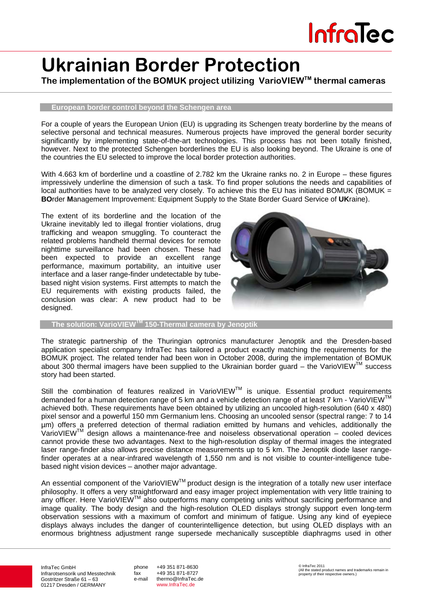# **Ukrainian Border Protection**

**The implementation of the BOMUK project utilizing VarioVIEWTM thermal cameras**

### **European border control beyond the Schengen area**

For a couple of years the European Union (EU) is upgrading its Schengen treaty borderline by the means of selective personal and technical measures. Numerous projects have improved the general border security significantly by implementing state-of-the-art technologies. This process has not been totally finished, however. Next to the protected Schengen borderlines the EU is also looking beyond. The Ukraine is one of the countries the EU selected to improve the local border protection authorities.

With 4.663 km of borderline und a coastline of 2.782 km the Ukraine ranks no. 2 in Europe – these figures impressively underline the dimension of such a task. To find proper solutions the needs and capabilities of local authorities have to be analyzed very closely. To achieve this the EU has initiated BOMUK (BOMUK  $=$ **BO**rder **M**anagement Improvement: Equipment Supply to the State Border Guard Service of **UK**raine).

The extent of its borderline and the location of the Ukraine inevitably led to illegal frontier violations, drug trafficking and weapon smuggling. To counteract the related problems handheld thermal devices for remote nighttime surveillance had been chosen. These had been expected to provide an excellent range performance, maximum portability, an intuitive user interface and a laser range-finder undetectable by tubebased night vision systems. First attempts to match the EU requirements with existing products failed, the conclusion was clear: A new product had to be designed.



**The solution: VarioVIEWTM 150-Thermal camera by Jenoptik** 

The strategic partnership of the Thuringian optronics manufacturer Jenoptik and the Dresden-based application specialist company InfraTec has tailored a product exactly matching the requirements for the BOMUK project. The related tender had been won in October 2008, during the implementation of BOMUK about 300 thermal imagers have been supplied to the Ukrainian border guard – the VarioVIEW™ success story had been started.

Still the combination of features realized in VarioVIEW™ is unique. Essential product requirements demanded for a human detection range of 5 km and a vehicle detection range of at least 7 km - VarioVIEW™ achieved both. These requirements have been obtained by utilizing an uncooled high-resolution (640 x 480) pixel sensor and a powerful 150 mm Germanium lens. Choosing an uncooled sensor (spectral range: 7 to 14 µm) offers a preferred detection of thermal radiation emitted by humans and vehicles, additionally the VarioVIEWTM design allows a maintenance-free and noiseless observational operation – cooled devices cannot provide these two advantages. Next to the high-resolution display of thermal images the integrated laser range-finder also allows precise distance measurements up to 5 km. The Jenoptik diode laser rangefinder operates at a near-infrared wavelength of 1,550 nm and is not visible to counter-intelligence tubebased night vision devices – another major advantage.

An essential component of the VarioVIEW™ product design is the integration of a totally new user interface philosophy. It offers a very straightforward and easy imager project implementation with very little training to any officer. Here VarioVIEWTM also outperforms many competing units without sacrificing performance and image quality. The body design and the high-resolution OLED displays strongly support even long-term observation sessions with a maximum of comfort and minimum of fatigue. Using any kind of eyepiece displays always includes the danger of counterintelligence detection, but using OLED displays with an enormous brightness adjustment range supersede mechanically susceptible diaphragms used in other

InfraTec GmbH Infrarotsensorik und Messtechnik Gostritzer Straße 61 – 63 01217 Dresden / GERMANY

phone +49 351 871-8630 fax +49 351 871-8727 e-mail thermo@InfraTec.de www.InfraTec.de

© InfraTec 2011 (All the stated product names and trademarks remain in property of their respective owners.)